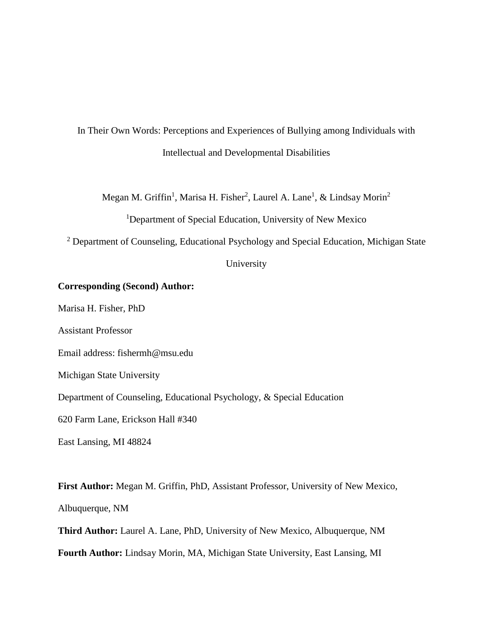In Their Own Words: Perceptions and Experiences of Bullying among Individuals with Intellectual and Developmental Disabilities

Megan M. Griffin<sup>1</sup>, Marisa H. Fisher<sup>2</sup>, Laurel A. Lane<sup>1</sup>, & Lindsay Morin<sup>2</sup>

<sup>1</sup>Department of Special Education, University of New Mexico

<sup>2</sup> Department of Counseling, Educational Psychology and Special Education, Michigan State

University

## **Corresponding (Second) Author:**

Marisa H. Fisher, PhD

Assistant Professor

Email address: fishermh@msu.edu

Michigan State University

Department of Counseling, Educational Psychology, & Special Education

620 Farm Lane, Erickson Hall #340

East Lansing, MI 48824

**First Author:** Megan M. Griffin, PhD, Assistant Professor, University of New Mexico, Albuquerque, NM

**Third Author:** Laurel A. Lane, PhD, University of New Mexico, Albuquerque, NM **Fourth Author:** Lindsay Morin, MA, Michigan State University, East Lansing, MI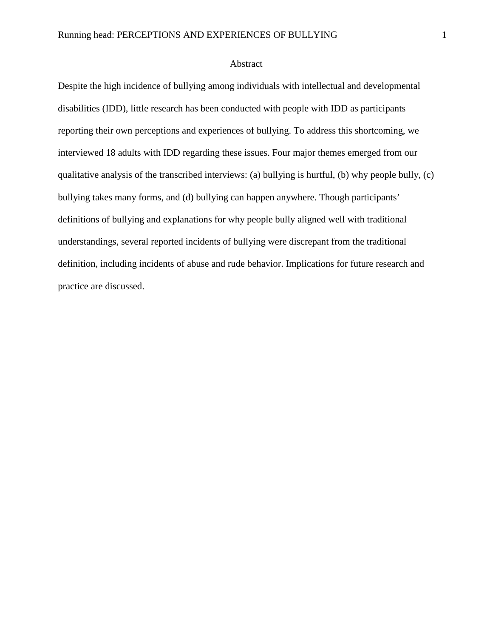## Abstract

Despite the high incidence of bullying among individuals with intellectual and developmental disabilities (IDD), little research has been conducted with people with IDD as participants reporting their own perceptions and experiences of bullying. To address this shortcoming, we interviewed 18 adults with IDD regarding these issues. Four major themes emerged from our qualitative analysis of the transcribed interviews: (a) bullying is hurtful, (b) why people bully, (c) bullying takes many forms, and (d) bullying can happen anywhere. Though participants' definitions of bullying and explanations for why people bully aligned well with traditional understandings, several reported incidents of bullying were discrepant from the traditional definition, including incidents of abuse and rude behavior. Implications for future research and practice are discussed.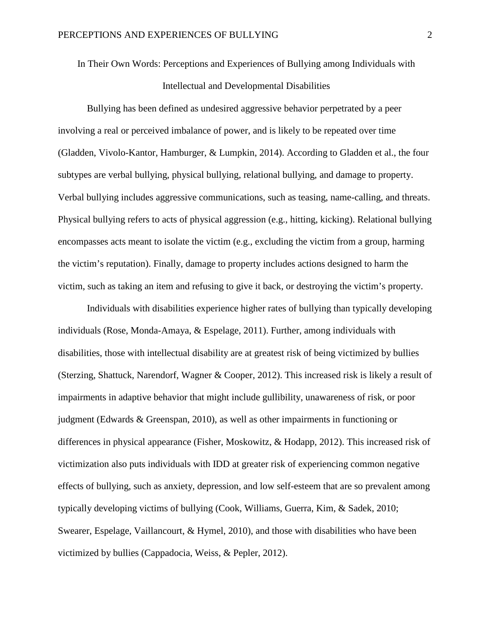In Their Own Words: Perceptions and Experiences of Bullying among Individuals with Intellectual and Developmental Disabilities

Bullying has been defined as undesired aggressive behavior perpetrated by a peer involving a real or perceived imbalance of power, and is likely to be repeated over time (Gladden, Vivolo-Kantor, Hamburger, & Lumpkin, 2014). According to Gladden et al., the four subtypes are verbal bullying, physical bullying, relational bullying, and damage to property. Verbal bullying includes aggressive communications, such as teasing, name-calling, and threats. Physical bullying refers to acts of physical aggression (e.g., hitting, kicking). Relational bullying encompasses acts meant to isolate the victim (e.g., excluding the victim from a group, harming the victim's reputation). Finally, damage to property includes actions designed to harm the victim, such as taking an item and refusing to give it back, or destroying the victim's property.

Individuals with disabilities experience higher rates of bullying than typically developing individuals (Rose, Monda-Amaya, & Espelage, 2011). Further, among individuals with disabilities, those with intellectual disability are at greatest risk of being victimized by bullies (Sterzing, Shattuck, Narendorf, Wagner & Cooper, 2012). This increased risk is likely a result of impairments in adaptive behavior that might include gullibility, unawareness of risk, or poor judgment (Edwards & Greenspan, 2010), as well as other impairments in functioning or differences in physical appearance (Fisher, Moskowitz, & Hodapp, 2012). This increased risk of victimization also puts individuals with IDD at greater risk of experiencing common negative effects of bullying, such as anxiety, depression, and low self-esteem that are so prevalent among typically developing victims of bullying (Cook, Williams, Guerra, Kim, & Sadek, 2010; Swearer, Espelage, Vaillancourt, & Hymel, 2010), and those with disabilities who have been victimized by bullies (Cappadocia, Weiss, & Pepler, 2012).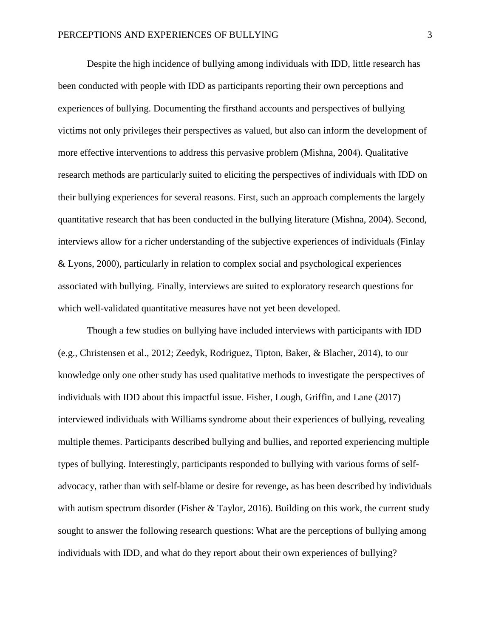Despite the high incidence of bullying among individuals with IDD, little research has been conducted with people with IDD as participants reporting their own perceptions and experiences of bullying. Documenting the firsthand accounts and perspectives of bullying victims not only privileges their perspectives as valued, but also can inform the development of more effective interventions to address this pervasive problem (Mishna, 2004). Qualitative research methods are particularly suited to eliciting the perspectives of individuals with IDD on their bullying experiences for several reasons. First, such an approach complements the largely quantitative research that has been conducted in the bullying literature (Mishna, 2004). Second, interviews allow for a richer understanding of the subjective experiences of individuals (Finlay & Lyons, 2000), particularly in relation to complex social and psychological experiences associated with bullying. Finally, interviews are suited to exploratory research questions for which well-validated quantitative measures have not yet been developed.

Though a few studies on bullying have included interviews with participants with IDD (e.g., Christensen et al., 2012; Zeedyk, Rodriguez, Tipton, Baker, & Blacher, 2014), to our knowledge only one other study has used qualitative methods to investigate the perspectives of individuals with IDD about this impactful issue. Fisher, Lough, Griffin, and Lane (2017) interviewed individuals with Williams syndrome about their experiences of bullying, revealing multiple themes. Participants described bullying and bullies, and reported experiencing multiple types of bullying. Interestingly, participants responded to bullying with various forms of selfadvocacy, rather than with self-blame or desire for revenge, as has been described by individuals with autism spectrum disorder (Fisher & Taylor, 2016). Building on this work, the current study sought to answer the following research questions: What are the perceptions of bullying among individuals with IDD, and what do they report about their own experiences of bullying?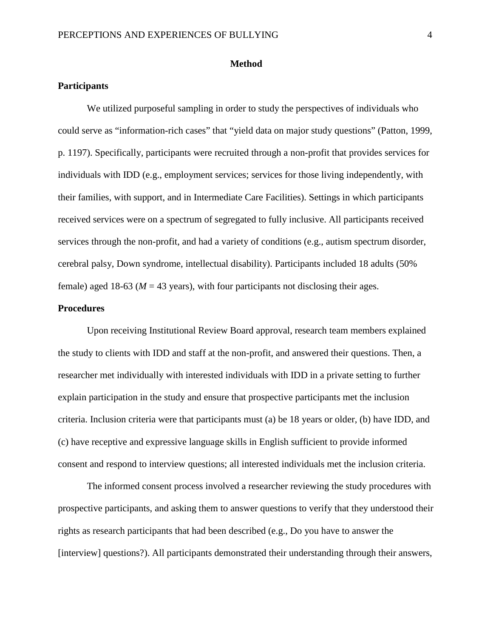## **Method**

## **Participants**

We utilized purposeful sampling in order to study the perspectives of individuals who could serve as "information-rich cases" that "yield data on major study questions" (Patton, 1999, p. 1197). Specifically, participants were recruited through a non-profit that provides services for individuals with IDD (e.g., employment services; services for those living independently, with their families, with support, and in Intermediate Care Facilities). Settings in which participants received services were on a spectrum of segregated to fully inclusive. All participants received services through the non-profit, and had a variety of conditions (e.g., autism spectrum disorder, cerebral palsy, Down syndrome, intellectual disability). Participants included 18 adults (50% female) aged 18-63 ( $M = 43$  years), with four participants not disclosing their ages.

## **Procedures**

Upon receiving Institutional Review Board approval, research team members explained the study to clients with IDD and staff at the non-profit, and answered their questions. Then, a researcher met individually with interested individuals with IDD in a private setting to further explain participation in the study and ensure that prospective participants met the inclusion criteria. Inclusion criteria were that participants must (a) be 18 years or older, (b) have IDD, and (c) have receptive and expressive language skills in English sufficient to provide informed consent and respond to interview questions; all interested individuals met the inclusion criteria.

The informed consent process involved a researcher reviewing the study procedures with prospective participants, and asking them to answer questions to verify that they understood their rights as research participants that had been described (e.g., Do you have to answer the [interview] questions?). All participants demonstrated their understanding through their answers,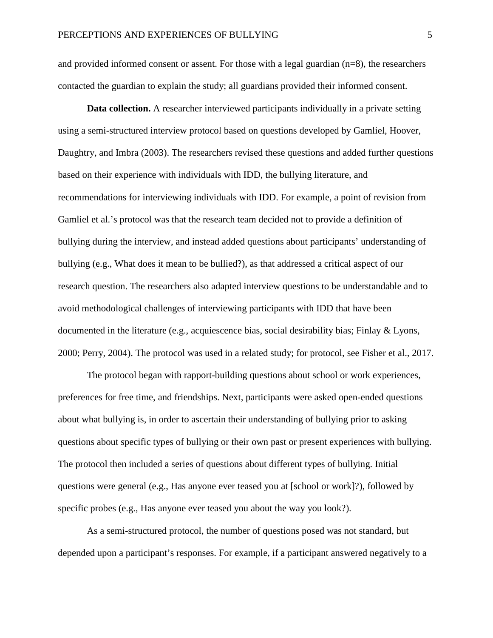and provided informed consent or assent. For those with a legal guardian (n=8), the researchers contacted the guardian to explain the study; all guardians provided their informed consent.

**Data collection.** A researcher interviewed participants individually in a private setting using a semi-structured interview protocol based on questions developed by Gamliel, Hoover, Daughtry, and Imbra (2003). The researchers revised these questions and added further questions based on their experience with individuals with IDD, the bullying literature, and recommendations for interviewing individuals with IDD. For example, a point of revision from Gamliel et al.'s protocol was that the research team decided not to provide a definition of bullying during the interview, and instead added questions about participants' understanding of bullying (e.g., What does it mean to be bullied?), as that addressed a critical aspect of our research question. The researchers also adapted interview questions to be understandable and to avoid methodological challenges of interviewing participants with IDD that have been documented in the literature (e.g., acquiescence bias, social desirability bias; Finlay & Lyons, 2000; Perry, 2004). The protocol was used in a related study; for protocol, see Fisher et al., 2017.

The protocol began with rapport-building questions about school or work experiences, preferences for free time, and friendships. Next, participants were asked open-ended questions about what bullying is, in order to ascertain their understanding of bullying prior to asking questions about specific types of bullying or their own past or present experiences with bullying. The protocol then included a series of questions about different types of bullying. Initial questions were general (e.g., Has anyone ever teased you at [school or work]?), followed by specific probes (e.g., Has anyone ever teased you about the way you look?).

As a semi-structured protocol, the number of questions posed was not standard, but depended upon a participant's responses. For example, if a participant answered negatively to a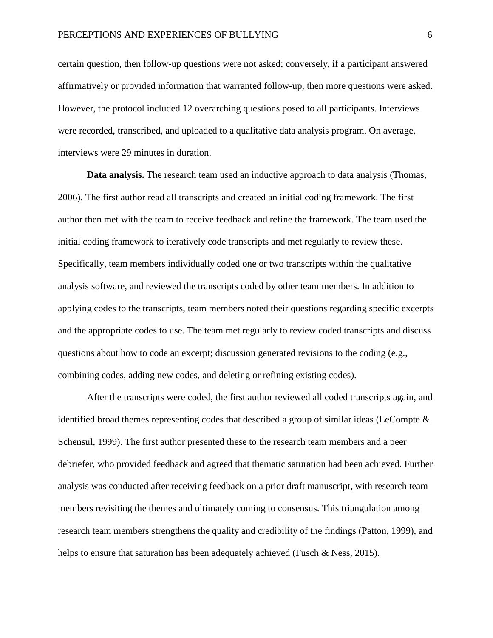certain question, then follow-up questions were not asked; conversely, if a participant answered affirmatively or provided information that warranted follow-up, then more questions were asked. However, the protocol included 12 overarching questions posed to all participants. Interviews were recorded, transcribed, and uploaded to a qualitative data analysis program. On average, interviews were 29 minutes in duration.

**Data analysis.** The research team used an inductive approach to data analysis (Thomas, 2006). The first author read all transcripts and created an initial coding framework. The first author then met with the team to receive feedback and refine the framework. The team used the initial coding framework to iteratively code transcripts and met regularly to review these. Specifically, team members individually coded one or two transcripts within the qualitative analysis software, and reviewed the transcripts coded by other team members. In addition to applying codes to the transcripts, team members noted their questions regarding specific excerpts and the appropriate codes to use. The team met regularly to review coded transcripts and discuss questions about how to code an excerpt; discussion generated revisions to the coding (e.g., combining codes, adding new codes, and deleting or refining existing codes).

After the transcripts were coded, the first author reviewed all coded transcripts again, and identified broad themes representing codes that described a group of similar ideas (LeCompte  $\&$ Schensul, 1999). The first author presented these to the research team members and a peer debriefer, who provided feedback and agreed that thematic saturation had been achieved. Further analysis was conducted after receiving feedback on a prior draft manuscript, with research team members revisiting the themes and ultimately coming to consensus. This triangulation among research team members strengthens the quality and credibility of the findings (Patton, 1999), and helps to ensure that saturation has been adequately achieved (Fusch & Ness, 2015).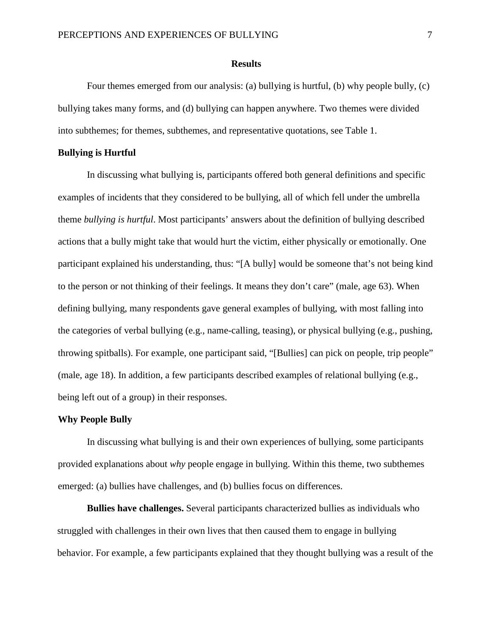#### **Results**

Four themes emerged from our analysis: (a) bullying is hurtful, (b) why people bully, (c) bullying takes many forms, and (d) bullying can happen anywhere. Two themes were divided into subthemes; for themes, subthemes, and representative quotations, see Table 1.

## **Bullying is Hurtful**

In discussing what bullying is, participants offered both general definitions and specific examples of incidents that they considered to be bullying, all of which fell under the umbrella theme *bullying is hurtful*. Most participants' answers about the definition of bullying described actions that a bully might take that would hurt the victim, either physically or emotionally. One participant explained his understanding, thus: "[A bully] would be someone that's not being kind to the person or not thinking of their feelings. It means they don't care" (male, age 63). When defining bullying, many respondents gave general examples of bullying, with most falling into the categories of verbal bullying (e.g., name-calling, teasing), or physical bullying (e.g., pushing, throwing spitballs). For example, one participant said, "[Bullies] can pick on people, trip people" (male, age 18). In addition, a few participants described examples of relational bullying (e.g., being left out of a group) in their responses.

#### **Why People Bully**

In discussing what bullying is and their own experiences of bullying, some participants provided explanations about *why* people engage in bullying. Within this theme, two subthemes emerged: (a) bullies have challenges, and (b) bullies focus on differences.

**Bullies have challenges.** Several participants characterized bullies as individuals who struggled with challenges in their own lives that then caused them to engage in bullying behavior. For example, a few participants explained that they thought bullying was a result of the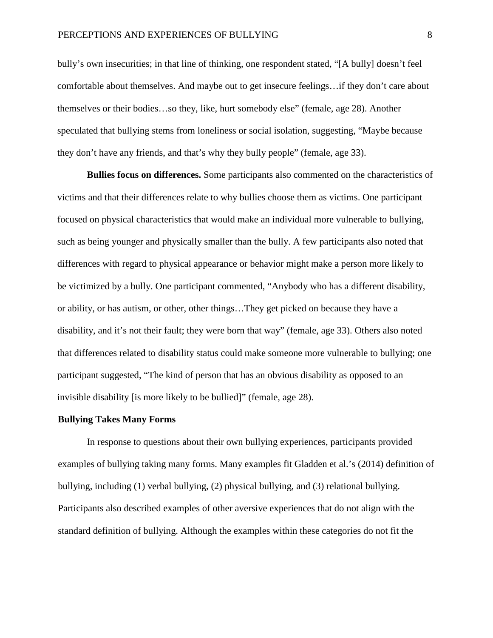bully's own insecurities; in that line of thinking, one respondent stated, "[A bully] doesn't feel comfortable about themselves. And maybe out to get insecure feelings…if they don't care about themselves or their bodies…so they, like, hurt somebody else" (female, age 28). Another speculated that bullying stems from loneliness or social isolation, suggesting, "Maybe because they don't have any friends, and that's why they bully people" (female, age 33).

**Bullies focus on differences.** Some participants also commented on the characteristics of victims and that their differences relate to why bullies choose them as victims. One participant focused on physical characteristics that would make an individual more vulnerable to bullying, such as being younger and physically smaller than the bully. A few participants also noted that differences with regard to physical appearance or behavior might make a person more likely to be victimized by a bully. One participant commented, "Anybody who has a different disability, or ability, or has autism, or other, other things…They get picked on because they have a disability, and it's not their fault; they were born that way" (female, age 33). Others also noted that differences related to disability status could make someone more vulnerable to bullying; one participant suggested, "The kind of person that has an obvious disability as opposed to an invisible disability [is more likely to be bullied]" (female, age 28).

#### **Bullying Takes Many Forms**

In response to questions about their own bullying experiences, participants provided examples of bullying taking many forms. Many examples fit Gladden et al.'s (2014) definition of bullying, including (1) verbal bullying, (2) physical bullying, and (3) relational bullying. Participants also described examples of other aversive experiences that do not align with the standard definition of bullying. Although the examples within these categories do not fit the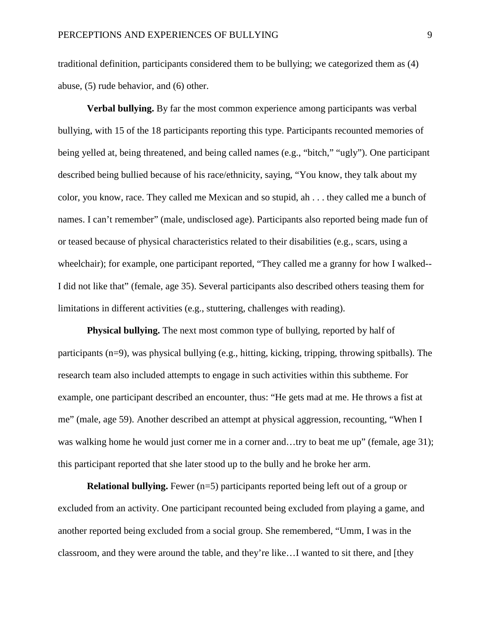traditional definition, participants considered them to be bullying; we categorized them as (4) abuse, (5) rude behavior, and (6) other.

**Verbal bullying.** By far the most common experience among participants was verbal bullying, with 15 of the 18 participants reporting this type. Participants recounted memories of being yelled at, being threatened, and being called names (e.g., "bitch," "ugly"). One participant described being bullied because of his race/ethnicity, saying, "You know, they talk about my color, you know, race. They called me Mexican and so stupid, ah . . . they called me a bunch of names. I can't remember" (male, undisclosed age). Participants also reported being made fun of or teased because of physical characteristics related to their disabilities (e.g., scars, using a wheelchair); for example, one participant reported, "They called me a granny for how I walked-- I did not like that" (female, age 35). Several participants also described others teasing them for limitations in different activities (e.g., stuttering, challenges with reading).

**Physical bullying.** The next most common type of bullying, reported by half of participants (n=9), was physical bullying (e.g., hitting, kicking, tripping, throwing spitballs). The research team also included attempts to engage in such activities within this subtheme. For example, one participant described an encounter, thus: "He gets mad at me. He throws a fist at me" (male, age 59). Another described an attempt at physical aggression, recounting, "When I was walking home he would just corner me in a corner and...try to beat me up" (female, age 31); this participant reported that she later stood up to the bully and he broke her arm.

**Relational bullying.** Fewer (n=5) participants reported being left out of a group or excluded from an activity. One participant recounted being excluded from playing a game, and another reported being excluded from a social group. She remembered, "Umm, I was in the classroom, and they were around the table, and they're like…I wanted to sit there, and [they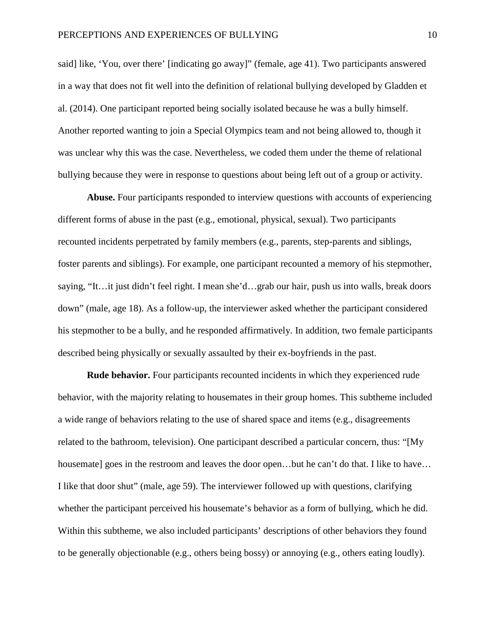said] like, 'You, over there' [indicating go away]" (female, age 41). Two participants answered in a way that does not fit well into the definition of relational bullying developed by Gladden et al. (2014). One participant reported being socially isolated because he was a bully himself. Another reported wanting to join a Special Olympics team and not being allowed to, though it was unclear why this was the case. Nevertheless, we coded them under the theme of relational bullying because they were in response to questions about being left out of a group or activity.

**Abuse.** Four participants responded to interview questions with accounts of experiencing different forms of abuse in the past (e.g., emotional, physical, sexual). Two participants recounted incidents perpetrated by family members (e.g., parents, step-parents and siblings, foster parents and siblings). For example, one participant recounted a memory of his stepmother, saying, "It…it just didn't feel right. I mean she'd…grab our hair, push us into walls, break doors down" (male, age 18). As a follow-up, the interviewer asked whether the participant considered his stepmother to be a bully, and he responded affirmatively. In addition, two female participants described being physically or sexually assaulted by their ex-boyfriends in the past.

**Rude behavior.** Four participants recounted incidents in which they experienced rude behavior, with the majority relating to housemates in their group homes. This subtheme included a wide range of behaviors relating to the use of shared space and items (e.g., disagreements related to the bathroom, television). One participant described a particular concern, thus: "[My housemate] goes in the restroom and leaves the door open...but he can't do that. I like to have... I like that door shut" (male, age 59). The interviewer followed up with questions, clarifying whether the participant perceived his housemate's behavior as a form of bullying, which he did. Within this subtheme, we also included participants' descriptions of other behaviors they found to be generally objectionable (e.g., others being bossy) or annoying (e.g., others eating loudly).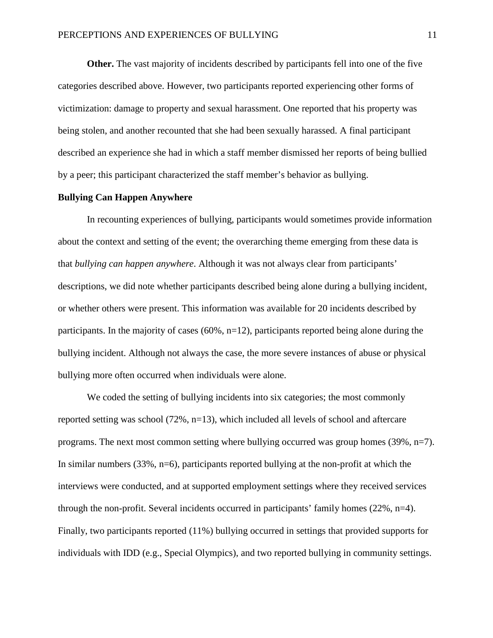**Other.** The vast majority of incidents described by participants fell into one of the five categories described above. However, two participants reported experiencing other forms of victimization: damage to property and sexual harassment. One reported that his property was being stolen, and another recounted that she had been sexually harassed. A final participant described an experience she had in which a staff member dismissed her reports of being bullied by a peer; this participant characterized the staff member's behavior as bullying.

## **Bullying Can Happen Anywhere**

In recounting experiences of bullying, participants would sometimes provide information about the context and setting of the event; the overarching theme emerging from these data is that *bullying can happen anywhere*. Although it was not always clear from participants' descriptions, we did note whether participants described being alone during a bullying incident, or whether others were present. This information was available for 20 incidents described by participants. In the majority of cases (60%, n=12), participants reported being alone during the bullying incident. Although not always the case, the more severe instances of abuse or physical bullying more often occurred when individuals were alone.

We coded the setting of bullying incidents into six categories; the most commonly reported setting was school (72%, n=13), which included all levels of school and aftercare programs. The next most common setting where bullying occurred was group homes (39%, n=7). In similar numbers (33%, n=6), participants reported bullying at the non-profit at which the interviews were conducted, and at supported employment settings where they received services through the non-profit. Several incidents occurred in participants' family homes (22%, n=4). Finally, two participants reported (11%) bullying occurred in settings that provided supports for individuals with IDD (e.g., Special Olympics), and two reported bullying in community settings.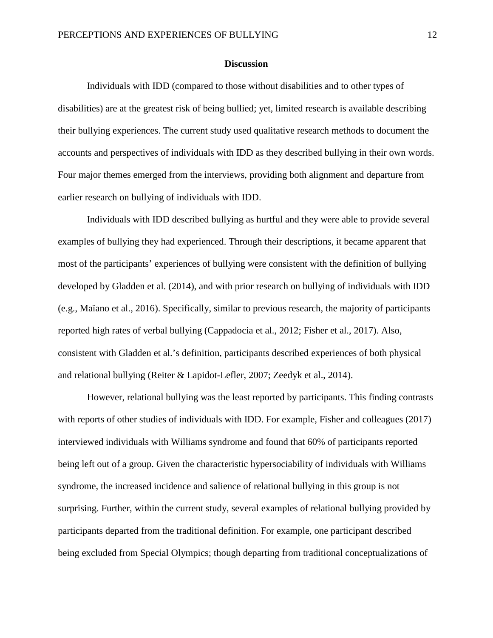#### **Discussion**

Individuals with IDD (compared to those without disabilities and to other types of disabilities) are at the greatest risk of being bullied; yet, limited research is available describing their bullying experiences. The current study used qualitative research methods to document the accounts and perspectives of individuals with IDD as they described bullying in their own words. Four major themes emerged from the interviews, providing both alignment and departure from earlier research on bullying of individuals with IDD.

Individuals with IDD described bullying as hurtful and they were able to provide several examples of bullying they had experienced. Through their descriptions, it became apparent that most of the participants' experiences of bullying were consistent with the definition of bullying developed by Gladden et al. (2014), and with prior research on bullying of individuals with IDD (e.g., Maïano et al., 2016). Specifically, similar to previous research, the majority of participants reported high rates of verbal bullying (Cappadocia et al., 2012; Fisher et al., 2017). Also, consistent with Gladden et al.'s definition, participants described experiences of both physical and relational bullying (Reiter & Lapidot-Lefler, 2007; Zeedyk et al., 2014).

However, relational bullying was the least reported by participants. This finding contrasts with reports of other studies of individuals with IDD. For example, Fisher and colleagues (2017) interviewed individuals with Williams syndrome and found that 60% of participants reported being left out of a group. Given the characteristic hypersociability of individuals with Williams syndrome, the increased incidence and salience of relational bullying in this group is not surprising. Further, within the current study, several examples of relational bullying provided by participants departed from the traditional definition. For example, one participant described being excluded from Special Olympics; though departing from traditional conceptualizations of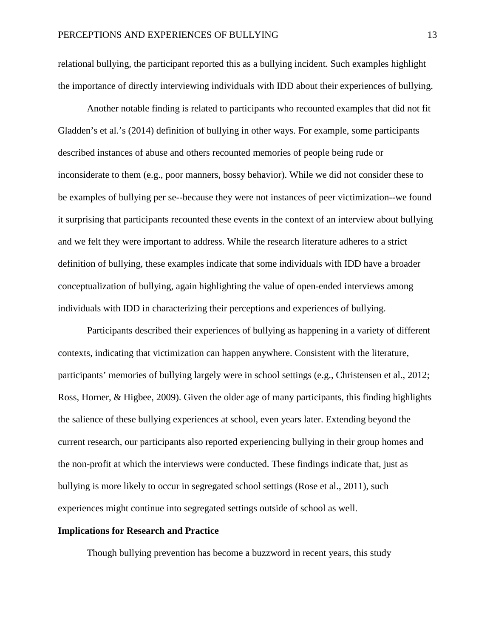relational bullying, the participant reported this as a bullying incident. Such examples highlight the importance of directly interviewing individuals with IDD about their experiences of bullying.

Another notable finding is related to participants who recounted examples that did not fit Gladden's et al.'s (2014) definition of bullying in other ways. For example, some participants described instances of abuse and others recounted memories of people being rude or inconsiderate to them (e.g., poor manners, bossy behavior). While we did not consider these to be examples of bullying per se--because they were not instances of peer victimization--we found it surprising that participants recounted these events in the context of an interview about bullying and we felt they were important to address. While the research literature adheres to a strict definition of bullying, these examples indicate that some individuals with IDD have a broader conceptualization of bullying, again highlighting the value of open-ended interviews among individuals with IDD in characterizing their perceptions and experiences of bullying.

Participants described their experiences of bullying as happening in a variety of different contexts, indicating that victimization can happen anywhere. Consistent with the literature, participants' memories of bullying largely were in school settings (e.g., Christensen et al., 2012; Ross, Horner, & Higbee, 2009). Given the older age of many participants, this finding highlights the salience of these bullying experiences at school, even years later. Extending beyond the current research, our participants also reported experiencing bullying in their group homes and the non-profit at which the interviews were conducted. These findings indicate that, just as bullying is more likely to occur in segregated school settings (Rose et al., 2011), such experiences might continue into segregated settings outside of school as well.

## **Implications for Research and Practice**

Though bullying prevention has become a buzzword in recent years, this study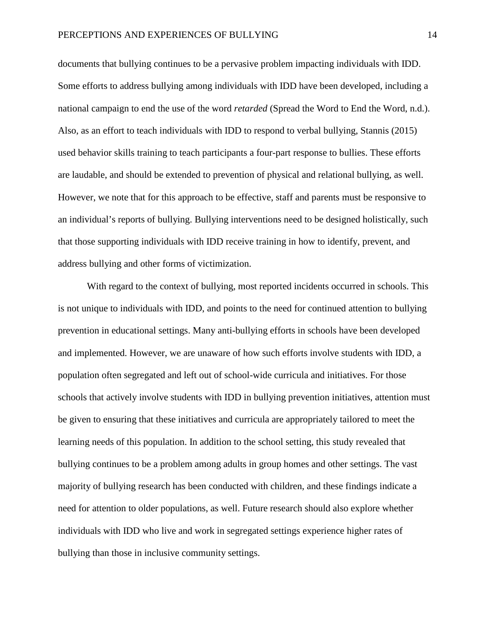documents that bullying continues to be a pervasive problem impacting individuals with IDD. Some efforts to address bullying among individuals with IDD have been developed, including a national campaign to end the use of the word *retarded* (Spread the Word to End the Word, n.d.). Also, as an effort to teach individuals with IDD to respond to verbal bullying, Stannis (2015) used behavior skills training to teach participants a four-part response to bullies. These efforts are laudable, and should be extended to prevention of physical and relational bullying, as well. However, we note that for this approach to be effective, staff and parents must be responsive to an individual's reports of bullying. Bullying interventions need to be designed holistically, such that those supporting individuals with IDD receive training in how to identify, prevent, and address bullying and other forms of victimization.

With regard to the context of bullying, most reported incidents occurred in schools. This is not unique to individuals with IDD, and points to the need for continued attention to bullying prevention in educational settings. Many anti-bullying efforts in schools have been developed and implemented. However, we are unaware of how such efforts involve students with IDD, a population often segregated and left out of school-wide curricula and initiatives. For those schools that actively involve students with IDD in bullying prevention initiatives, attention must be given to ensuring that these initiatives and curricula are appropriately tailored to meet the learning needs of this population. In addition to the school setting, this study revealed that bullying continues to be a problem among adults in group homes and other settings. The vast majority of bullying research has been conducted with children, and these findings indicate a need for attention to older populations, as well. Future research should also explore whether individuals with IDD who live and work in segregated settings experience higher rates of bullying than those in inclusive community settings.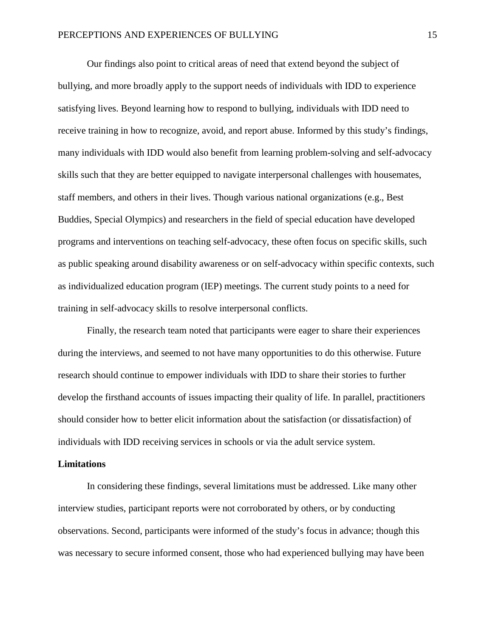Our findings also point to critical areas of need that extend beyond the subject of bullying, and more broadly apply to the support needs of individuals with IDD to experience satisfying lives. Beyond learning how to respond to bullying, individuals with IDD need to receive training in how to recognize, avoid, and report abuse. Informed by this study's findings, many individuals with IDD would also benefit from learning problem-solving and self-advocacy skills such that they are better equipped to navigate interpersonal challenges with housemates, staff members, and others in their lives. Though various national organizations (e.g., Best Buddies, Special Olympics) and researchers in the field of special education have developed programs and interventions on teaching self-advocacy, these often focus on specific skills, such as public speaking around disability awareness or on self-advocacy within specific contexts, such as individualized education program (IEP) meetings. The current study points to a need for training in self-advocacy skills to resolve interpersonal conflicts.

Finally, the research team noted that participants were eager to share their experiences during the interviews, and seemed to not have many opportunities to do this otherwise. Future research should continue to empower individuals with IDD to share their stories to further develop the firsthand accounts of issues impacting their quality of life. In parallel, practitioners should consider how to better elicit information about the satisfaction (or dissatisfaction) of individuals with IDD receiving services in schools or via the adult service system.

#### **Limitations**

In considering these findings, several limitations must be addressed. Like many other interview studies, participant reports were not corroborated by others, or by conducting observations. Second, participants were informed of the study's focus in advance; though this was necessary to secure informed consent, those who had experienced bullying may have been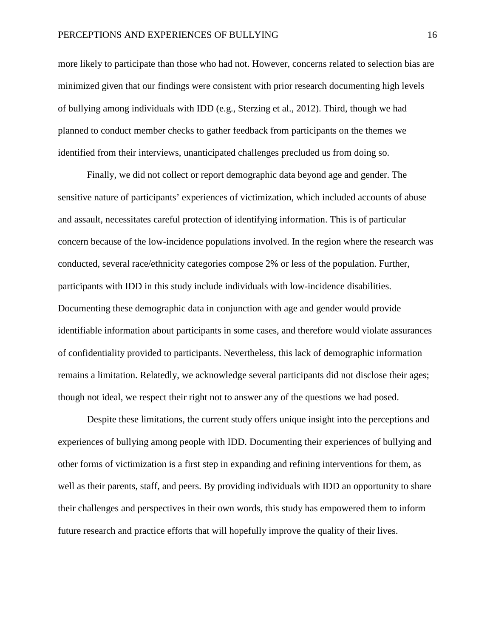more likely to participate than those who had not. However, concerns related to selection bias are minimized given that our findings were consistent with prior research documenting high levels of bullying among individuals with IDD (e.g., Sterzing et al., 2012). Third, though we had planned to conduct member checks to gather feedback from participants on the themes we identified from their interviews, unanticipated challenges precluded us from doing so.

Finally, we did not collect or report demographic data beyond age and gender. The sensitive nature of participants' experiences of victimization, which included accounts of abuse and assault, necessitates careful protection of identifying information. This is of particular concern because of the low-incidence populations involved. In the region where the research was conducted, several race/ethnicity categories compose 2% or less of the population. Further, participants with IDD in this study include individuals with low-incidence disabilities. Documenting these demographic data in conjunction with age and gender would provide identifiable information about participants in some cases, and therefore would violate assurances of confidentiality provided to participants. Nevertheless, this lack of demographic information remains a limitation. Relatedly, we acknowledge several participants did not disclose their ages; though not ideal, we respect their right not to answer any of the questions we had posed.

Despite these limitations, the current study offers unique insight into the perceptions and experiences of bullying among people with IDD. Documenting their experiences of bullying and other forms of victimization is a first step in expanding and refining interventions for them, as well as their parents, staff, and peers. By providing individuals with IDD an opportunity to share their challenges and perspectives in their own words, this study has empowered them to inform future research and practice efforts that will hopefully improve the quality of their lives.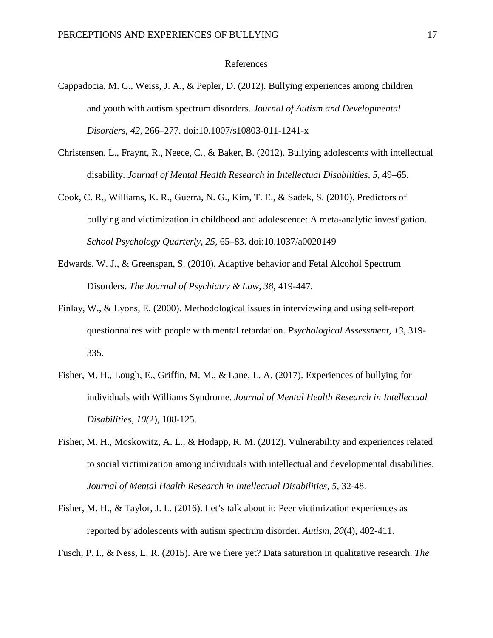#### References

- Cappadocia, M. C., Weiss, J. A., & Pepler, D. (2012). Bullying experiences among children and youth with autism spectrum disorders. *Journal of Autism and Developmental Disorders, 42,* 266–277. doi:10.1007/s10803-011-1241-x
- Christensen, L., Fraynt, R., Neece, C., & Baker, B. (2012). Bullying adolescents with intellectual disability. *Journal of Mental Health Research in Intellectual Disabilities, 5,* 49–65.
- Cook, C. R., Williams, K. R., Guerra, N. G., Kim, T. E., & Sadek, S. (2010). Predictors of bullying and victimization in childhood and adolescence: A meta-analytic investigation. *School Psychology Quarterly, 25,* 65–83. doi:10.1037/a0020149
- Edwards, W. J., & Greenspan, S. (2010). Adaptive behavior and Fetal Alcohol Spectrum Disorders. *The Journal of Psychiatry & Law, 38*, 419-447.
- Finlay, W., & Lyons, E. (2000). Methodological issues in interviewing and using self-report questionnaires with people with mental retardation. *Psychological Assessment, 13,* 319- 335.
- Fisher, M. H., Lough, E., Griffin, M. M., & Lane, L. A. (2017). Experiences of bullying for individuals with Williams Syndrome. *Journal of Mental Health Research in Intellectual Disabilities, 10(*2), 108-125.
- Fisher, M. H., Moskowitz, A. L., & Hodapp, R. M. (2012). Vulnerability and experiences related to social victimization among individuals with intellectual and developmental disabilities. *Journal of Mental Health Research in Intellectual Disabilities, 5,* 32-48.
- Fisher, M. H., & Taylor, J. L. (2016). Let's talk about it: Peer victimization experiences as reported by adolescents with autism spectrum disorder. *Autism*, *20*(4), 402-411.

Fusch, P. I., & Ness, L. R. (2015). Are we there yet? Data saturation in qualitative research. *The*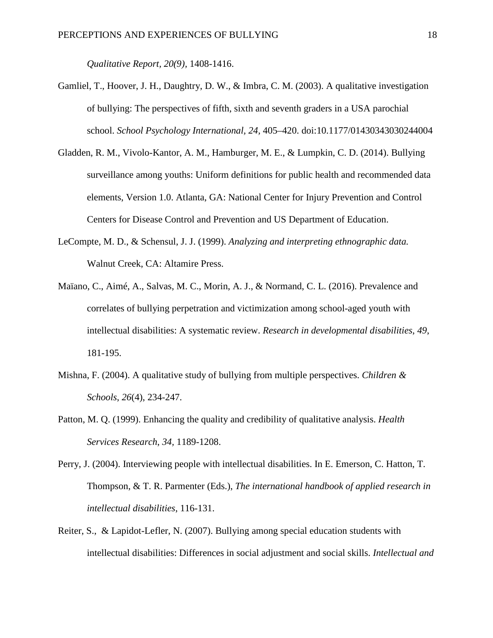*Qualitative Report, 20(9),* 1408-1416.

- Gamliel, T., Hoover, J. H., Daughtry, D. W., & Imbra, C. M. (2003). A qualitative investigation of bullying: The perspectives of fifth, sixth and seventh graders in a USA parochial school. *School Psychology International, 24,* 405–420. doi:10.1177/01430343030244004
- Gladden, R. M., Vivolo-Kantor, A. M., Hamburger, M. E., & Lumpkin, C. D. (2014). Bullying surveillance among youths: Uniform definitions for public health and recommended data elements, Version 1.0. Atlanta, GA: National Center for Injury Prevention and Control Centers for Disease Control and Prevention and US Department of Education.
- LeCompte, M. D., & Schensul, J. J. (1999). *Analyzing and interpreting ethnographic data.*  Walnut Creek, CA: Altamire Press.
- Maïano, C., Aimé, A., Salvas, M. C., Morin, A. J., & Normand, C. L. (2016). Prevalence and correlates of bullying perpetration and victimization among school-aged youth with intellectual disabilities: A systematic review. *Research in developmental disabilities*, *49*, 181-195.
- Mishna, F. (2004). A qualitative study of bullying from multiple perspectives. *Children & Schools*, *26*(4), 234-247.
- Patton, M. Q. (1999). Enhancing the quality and credibility of qualitative analysis. *Health Services Research*, *34,* 1189-1208.
- Perry, J. (2004). Interviewing people with intellectual disabilities. In E. Emerson, C. Hatton, T. Thompson, & T. R. Parmenter (Eds.), *The international handbook of applied research in intellectual disabilities*, 116-131.
- Reiter, S., & Lapidot-Lefler, N. (2007). Bullying among special education students with intellectual disabilities: Differences in social adjustment and social skills. *Intellectual and*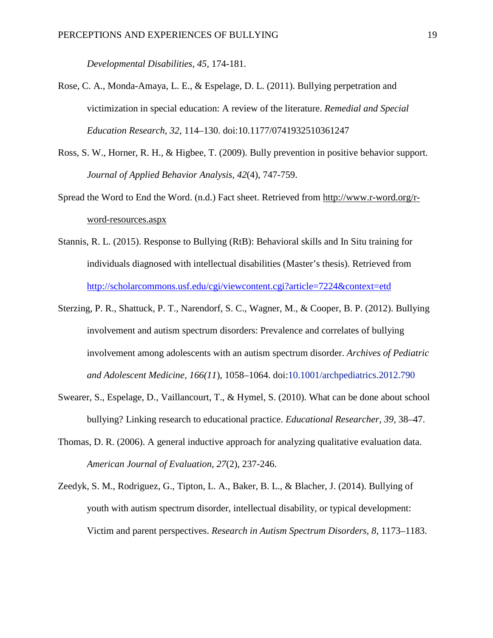*Developmental Disabilities, 45,* 174-181.

- Rose, C. A., Monda-Amaya, L. E., & Espelage, D. L. (2011). Bullying perpetration and victimization in special education: A review of the literature. *Remedial and Special Education Research, 32,* 114–130. doi:10.1177/0741932510361247
- Ross, S. W., Horner, R. H., & Higbee, T. (2009). Bully prevention in positive behavior support. *Journal of Applied Behavior Analysis*, *42*(4), 747-759.
- Spread the Word to End the Word. (n.d.) Fact sheet. Retrieved from [http://www.r-word.org/r](http://www.r-word.org/r-word-resources.aspx)[word-resources.aspx](http://www.r-word.org/r-word-resources.aspx)
- Stannis, R. L. (2015). Response to Bullying (RtB): Behavioral skills and In Situ training for individuals diagnosed with intellectual disabilities (Master's thesis). Retrieved from <http://scholarcommons.usf.edu/cgi/viewcontent.cgi?article=7224&context=etd>
- Sterzing, P. R., Shattuck, P. T., Narendorf, S. C., Wagner, M., & Cooper, B. P. (2012). Bullying involvement and autism spectrum disorders: Prevalence and correlates of bullying involvement among adolescents with an autism spectrum disorder. *Archives of Pediatric and Adolescent Medicine, 166(11*), 1058–1064. doi:10.1001/archpediatrics.2012.790
- Swearer, S., Espelage, D., Vaillancourt, T., & Hymel, S. (2010). What can be done about school bullying? Linking research to educational practice. *Educational Researcher, 39,* 38–47.
- Thomas, D. R. (2006). A general inductive approach for analyzing qualitative evaluation data. *American Journal of Evaluation*, *27*(2), 237-246.
- Zeedyk, S. M., Rodriguez, G., Tipton, L. A., Baker, B. L., & Blacher, J. (2014). Bullying of youth with autism spectrum disorder, intellectual disability, or typical development: Victim and parent perspectives. *Research in Autism Spectrum Disorders, 8,* 1173–1183.